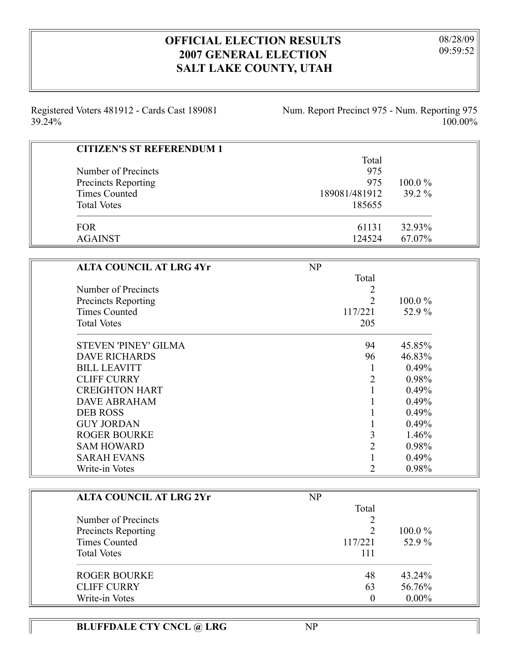## **OFFICIAL ELECTION RESULTS 2007 GENERAL ELECTION SALT LAKE COUNTY, UTAH**

08/28/09 09:59:52

Registered Voters 481912 - Cards Cast 189081 39.24%

Num. Report Precinct 975 - Num. Reporting 975 100.00%

| <b>CITIZEN'S ST REFERENDUM 1</b> |               |           |
|----------------------------------|---------------|-----------|
|                                  | Total         |           |
| Number of Precincts              | 975           |           |
| Precincts Reporting              | 975           | $100.0\%$ |
| Times Counted                    | 189081/481912 | $39.2\%$  |
| <b>Total Votes</b>               | 185655        |           |
| <b>FOR</b>                       | 61131         | 32.93%    |
| <b>AGAINST</b>                   | 124524        | 67.07%    |

| <b>ALTA COUNCIL AT LRG 4Yr</b> | NP                          |           |
|--------------------------------|-----------------------------|-----------|
|                                | Total                       |           |
| Number of Precincts            | 2                           |           |
| <b>Precincts Reporting</b>     | $\overline{2}$              | $100.0\%$ |
| <b>Times Counted</b>           | 117/221                     | 52.9%     |
| <b>Total Votes</b>             | 205                         |           |
| STEVEN 'PINEY' GILMA           | 94                          | 45.85%    |
| <b>DAVE RICHARDS</b>           | 96                          | 46.83%    |
| <b>BILL LEAVITT</b>            |                             | 0.49%     |
| <b>CLIFF CURRY</b>             | $\overline{2}$              | 0.98%     |
| <b>CREIGHTON HART</b>          |                             | 0.49%     |
| <b>DAVE ABRAHAM</b>            |                             | 0.49%     |
| <b>DEB ROSS</b>                |                             | 0.49%     |
| <b>GUY JORDAN</b>              |                             | 0.49%     |
| <b>ROGER BOURKE</b>            | 3                           | 1.46%     |
| <b>SAM HOWARD</b>              | $\overline{2}$              | 0.98%     |
| <b>SARAH EVANS</b>             |                             | 0.49%     |
| Write-in Votes                 | $\mathcal{D}_{\mathcal{L}}$ | 0.98%     |

| <b>ALTA COUNCIL AT LRG 2Yr</b> | NP      |           |
|--------------------------------|---------|-----------|
|                                | Total   |           |
| Number of Precincts            |         |           |
| Precincts Reporting            |         | $100.0\%$ |
| <b>Times Counted</b>           | 117/221 | 52.9 %    |
| <b>Total Votes</b>             | 111     |           |
| <b>ROGER BOURKE</b>            | 48      | 43.24%    |
| <b>CLIFF CURRY</b>             | 63      | 56.76%    |
| Write-in Votes                 | 0       | $0.00\%$  |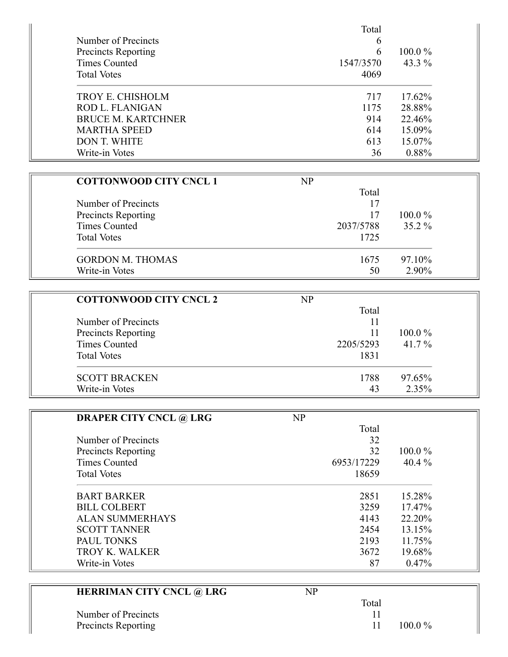|                           | Total     |           |
|---------------------------|-----------|-----------|
| Number of Precincts       | 6         |           |
| Precincts Reporting       | 6         | $100.0\%$ |
| Times Counted             | 1547/3570 | 43.3 %    |
| <b>Total Votes</b>        | 4069      |           |
| TROY E. CHISHOLM          | 717       | 17.62%    |
| <b>ROD L. FLANIGAN</b>    | 1175      | 28.88%    |
| <b>BRUCE M. KARTCHNER</b> | 914       | 22.46%    |
| <b>MARTHA SPEED</b>       | 614       | 15.09%    |
| <b>DON T. WHITE</b>       | 613       | 15.07%    |
| Write-in Votes            | 36        | 0.88%     |

| <b>COTTONWOOD CITY CNCL 1</b> | $\mathbf{NP}$ |           |
|-------------------------------|---------------|-----------|
|                               | Total         |           |
| Number of Precincts           | 17            |           |
| Precincts Reporting           | 17            | $100.0\%$ |
| <b>Times Counted</b>          | 2037/5788     | $35.2\%$  |
| <b>Total Votes</b>            | 1725          |           |
| <b>GORDON M. THOMAS</b>       | 1675          | 97.10%    |
| Write-in Votes                | 50            | 2.90%     |

| <b>COTTONWOOD CITY CNCL 2</b> | NP        |           |
|-------------------------------|-----------|-----------|
|                               | Total     |           |
| Number of Precincts           | 11        |           |
| Precincts Reporting           | 11        | $100.0\%$ |
| <b>Times Counted</b>          | 2205/5293 | 41.7 %    |
| <b>Total Votes</b>            | 1831      |           |
| <b>SCOTT BRACKEN</b>          | 1788      | 97.65%    |
| Write-in Votes                | 43        | 2.35%     |

| <b>DRAPER CITY CNCL @ LRG</b> | NP         |           |
|-------------------------------|------------|-----------|
|                               | Total      |           |
| Number of Precincts           | 32         |           |
| <b>Precincts Reporting</b>    | 32         | $100.0\%$ |
| Times Counted                 | 6953/17229 | 40.4 $%$  |
| <b>Total Votes</b>            | 18659      |           |
| <b>BART BARKER</b>            | 2851       | 15.28%    |
| <b>BILL COLBERT</b>           | 3259       | 17.47%    |
| <b>ALAN SUMMERHAYS</b>        | 4143       | 22.20%    |
| <b>SCOTT TANNER</b>           | 2454       | 13.15%    |
| PAUL TONKS                    | 2193       | 11.75%    |
| TROY K. WALKER                | 3672       | 19.68%    |
| Write-in Votes                | 87         | 0.47%     |

| <b>HERRIMAN CITY CNCL @ LRG</b> | NP        |
|---------------------------------|-----------|
|                                 | Total     |
| Number of Precincts             |           |
| Precincts Reporting             | $100.0\%$ |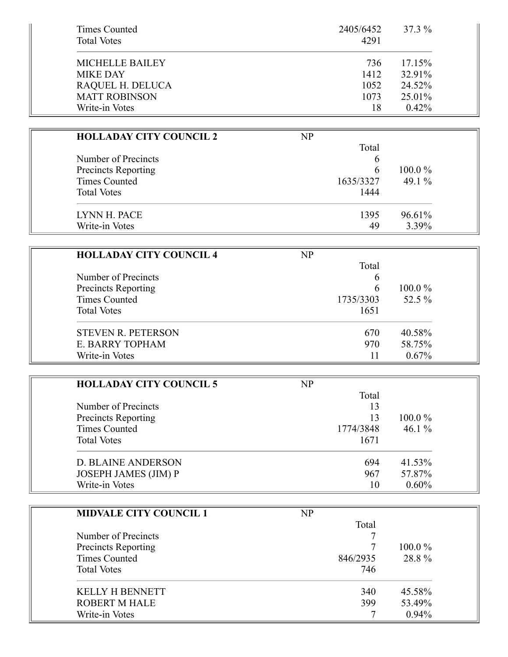| Times Counted<br><b>Total Votes</b> | 2405/6452<br>4291 | 37.3 %    |
|-------------------------------------|-------------------|-----------|
| <b>MICHELLE BAILEY</b>              | 736               | $17.15\%$ |
| <b>MIKE DAY</b>                     | 1412              | 32.91%    |
| RAQUEL H. DELUCA                    | 1052              | 24.52%    |
| <b>MATT ROBINSON</b>                | 1073              | 25.01%    |
| Write-in Votes                      | 18                | $0.42\%$  |

| <b>HOLLADAY CITY COUNCIL 2</b> | NP        |           |
|--------------------------------|-----------|-----------|
|                                | Total     |           |
| Number of Precincts            | b         |           |
| <b>Precincts Reporting</b>     | h         | $100.0\%$ |
| <b>Times Counted</b>           | 1635/3327 | 49.1 $\%$ |
| <b>Total Votes</b>             | 1444      |           |
| LYNN H. PACE                   | 1395      | 96.61%    |
| Write-in Votes                 | 49        | 3.39%     |

| <b>HOLLADAY CITY COUNCIL 4</b> | NP        |           |
|--------------------------------|-----------|-----------|
|                                | Total     |           |
| Number of Precincts            | b         |           |
| <b>Precincts Reporting</b>     | h         | $100.0\%$ |
| Times Counted                  | 1735/3303 | 52.5 %    |
| <b>Total Votes</b>             | 1651      |           |
| <b>STEVEN R. PETERSON</b>      | 670       | 40.58%    |
| E. BARRY TOPHAM                | 970       | 58.75%    |
| Write-in Votes                 | 11        | $0.67\%$  |

| <b>HOLLADAY CITY COUNCIL 5</b> | NP        |           |
|--------------------------------|-----------|-----------|
|                                | Total     |           |
| Number of Precincts            | 13        |           |
| Precincts Reporting            | 13        | $100.0\%$ |
| Times Counted                  | 1774/3848 | 46.1 $%$  |
| <b>Total Votes</b>             | 1671      |           |
| D. BLAINE ANDERSON             | 694       | 41.53%    |
| JOSEPH JAMES (JIM) P           | 967       | 57.87%    |
| Write-in Votes                 | 10        | $0.60\%$  |

| <b>MIDVALE CITY COUNCIL 1</b> | NP       |           |
|-------------------------------|----------|-----------|
|                               | Total    |           |
| Number of Precincts           |          |           |
| Precincts Reporting           |          | $100.0\%$ |
| <b>Times Counted</b>          | 846/2935 | 28.8%     |
| <b>Total Votes</b>            | 746      |           |
| <b>KELLY H BENNETT</b>        | 340      | 45.58%    |
| <b>ROBERT M HALE</b>          | 399      | 53.49%    |
| Write-in Votes                |          | 0.94%     |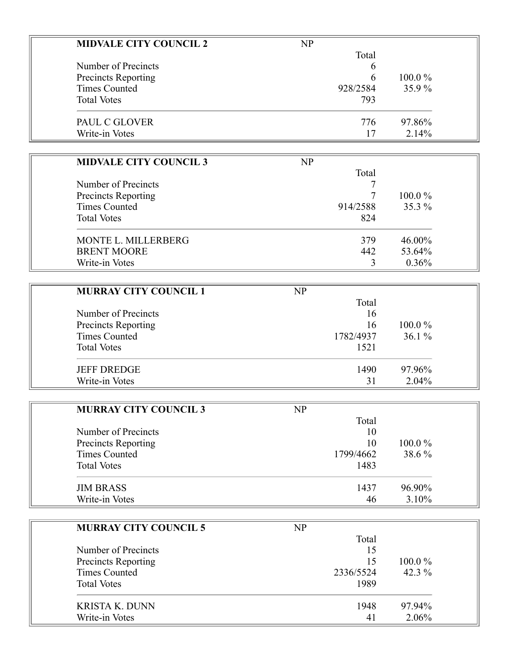| <b>MIDVALE CITY COUNCIL 2</b> | NP       |           |
|-------------------------------|----------|-----------|
|                               | Total    |           |
| Number of Precincts           | 6        |           |
| <b>Precincts Reporting</b>    | 6        | $100.0\%$ |
| <b>Times Counted</b>          | 928/2584 | 35.9%     |
| <b>Total Votes</b>            | 793      |           |
| PAUL C GLOVER                 | 776      | 97.86%    |
| Write-in Votes                | 17       | 2.14%     |

| <b>MIDVALE CITY COUNCIL 3</b> | NP       |           |
|-------------------------------|----------|-----------|
| Number of Precincts           | Total    |           |
|                               |          |           |
| Precincts Reporting           |          | $100.0\%$ |
| Times Counted                 | 914/2588 | 35.3 %    |
| <b>Total Votes</b>            | 824      |           |
| MONTE L. MILLERBERG           | 379      | 46.00%    |
| <b>BRENT MOORE</b>            | 442      | 53.64%    |
| Write-in Votes                |          | 0.36%     |

| <b>MURRAY CITY COUNCIL 1</b> | $\mathbf{NP}$ |           |
|------------------------------|---------------|-----------|
|                              | Total         |           |
| Number of Precincts          | 16            |           |
| Precincts Reporting          | 16            | $100.0\%$ |
| <b>Times Counted</b>         | 1782/4937     | $36.1\%$  |
| <b>Total Votes</b>           | 1521          |           |
| <b>JEFF DREDGE</b>           | 1490          | 97.96%    |
| Write-in Votes               | 31            | 2.04%     |

| <b>MURRAY CITY COUNCIL 3</b> | NP        |           |
|------------------------------|-----------|-----------|
|                              | Total     |           |
| Number of Precincts          | 10        |           |
| <b>Precincts Reporting</b>   | 10        | $100.0\%$ |
| Times Counted                | 1799/4662 | 38.6 %    |
| <b>Total Votes</b>           | 1483      |           |
| <b>JIM BRASS</b>             | 1437      | 96.90%    |
| Write-in Votes               | 46        | $3.10\%$  |

| <b>MURRAY CITY COUNCIL 5</b> | NP        |           |
|------------------------------|-----------|-----------|
|                              | Total     |           |
| Number of Precincts          | 15        |           |
| Precincts Reporting          | 15        | $100.0\%$ |
| <b>Times Counted</b>         | 2336/5524 | 42.3 $%$  |
| <b>Total Votes</b>           | 1989      |           |
| <b>KRISTA K. DUNN</b>        | 1948      | 97.94%    |
| Write-in Votes               | 41        | 2.06%     |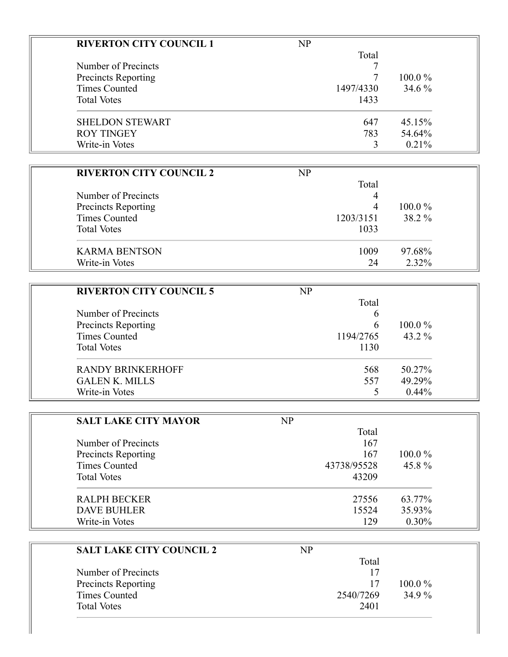| <b>RIVERTON CITY COUNCIL 1</b> | NP        |           |
|--------------------------------|-----------|-----------|
|                                | Total     |           |
| Number of Precincts            |           |           |
| Precincts Reporting            |           | $100.0\%$ |
| <b>Times Counted</b>           | 1497/4330 | 34.6 %    |
| <b>Total Votes</b>             | 1433      |           |
| <b>SHELDON STEWART</b>         | 647       | 45.15%    |
| <b>ROY TINGEY</b>              | 783       | 54.64%    |
| Write-in Votes                 | 3         | 0.21%     |

| <b>RIVERTON CITY COUNCIL 2</b> | NP        |           |
|--------------------------------|-----------|-----------|
|                                | Total     |           |
| Number of Precincts            | 4         |           |
| Precincts Reporting            | 4         | $100.0\%$ |
| <b>Times Counted</b>           | 1203/3151 | 38.2 %    |
| <b>Total Votes</b>             | 1033      |           |
| <b>KARMA BENTSON</b>           | 1009      | 97.68%    |
| Write-in Votes                 | 24        | 2.32%     |

| <b>RIVERTON CITY COUNCIL 5</b> | NP        |           |
|--------------------------------|-----------|-----------|
|                                | Total     |           |
| Number of Precincts            | b         |           |
| Precincts Reporting            | h         | $100.0\%$ |
| <b>Times Counted</b>           | 1194/2765 | 43.2 $\%$ |
| <b>Total Votes</b>             | 1130      |           |
| <b>RANDY BRINKERHOFF</b>       | 568       | 50.27%    |
| <b>GALEN K. MILLS</b>          | 557       | 49.29%    |
| Write-in Votes                 |           | $0.44\%$  |

| <b>SALT LAKE CITY MAYOR</b> | NP          |           |
|-----------------------------|-------------|-----------|
|                             | Total       |           |
| Number of Precincts         | 167         |           |
| Precincts Reporting         | 167         | $100.0\%$ |
| Times Counted               | 43738/95528 | 45.8%     |
| <b>Total Votes</b>          | 43209       |           |
| <b>RALPH BECKER</b>         | 27556       | 63.77%    |
| <b>DAVE BUHLER</b>          | 15524       | 35.93%    |
| Write-in Votes              | 129         | 0.30%     |

| <b>SALT LAKE CITY COUNCIL 2</b> | NP        |           |
|---------------------------------|-----------|-----------|
|                                 | Total     |           |
| Number of Precincts             | 17        |           |
| Precincts Reporting             | 17        | $100.0\%$ |
| Times Counted                   | 2540/7269 | 34.9 %    |
| <b>Total Votes</b>              | 2401      |           |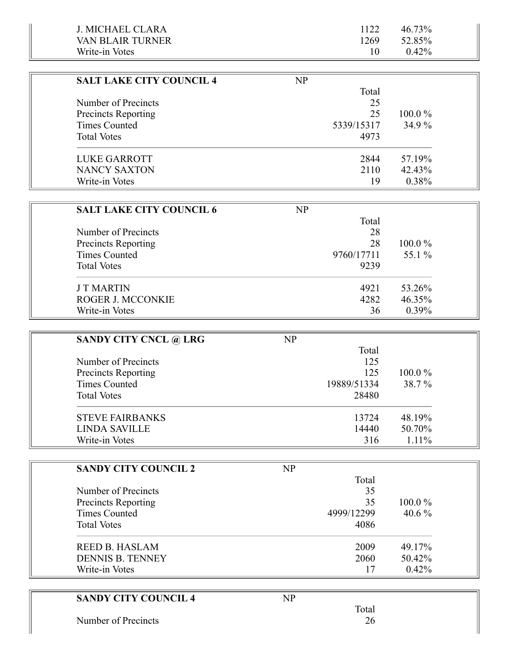| J. MICHAEL CLARA  |      | 46.73%   |  |
|-------------------|------|----------|--|
| VAN RLAIR TURNER- | 1269 | 52.85%   |  |
| Write-in Votes    |      | $0.42\%$ |  |

۳

| <b>SALT LAKE CITY COUNCIL 4</b> | NP         |           |
|---------------------------------|------------|-----------|
|                                 | Total      |           |
| Number of Precincts             | 25         |           |
| <b>Precincts Reporting</b>      | 25         | $100.0\%$ |
| Times Counted                   | 5339/15317 | $34.9\%$  |
| <b>Total Votes</b>              | 4973       |           |
| LUKE GARROTT                    | 2844       | 57.19%    |
| <b>NANCY SAXTON</b>             | 2110       | 42.43%    |
| Write-in Votes                  | 19         | 0.38%     |

| <b>SALT LAKE CITY COUNCIL 6</b> | NP         |           |
|---------------------------------|------------|-----------|
|                                 | Total      |           |
| Number of Precincts             | 28         |           |
| Precincts Reporting             | 28         | $100.0\%$ |
| <b>Times Counted</b>            | 9760/17711 | 55.1 %    |
| <b>Total Votes</b>              | 9239       |           |
| <b>JT MARTIN</b>                | 4921       | 53.26%    |
| ROGER J. MCCONKIE               | 4282       | 46.35%    |
| Write-in Votes                  | 36         | $0.39\%$  |

| <b>SANDY CITY CNCL @ LRG</b> | NP          |           |
|------------------------------|-------------|-----------|
|                              | Total       |           |
| Number of Precincts          | 125         |           |
| Precincts Reporting          | 125         | $100.0\%$ |
| Times Counted                | 19889/51334 | 38.7 %    |
| <b>Total Votes</b>           | 28480       |           |
| <b>STEVE FAIRBANKS</b>       | 13724       | 48.19%    |
| <b>LINDA SAVILLE</b>         | 14440       | 50.70%    |
| Write-in Votes               | 316         | $1.11\%$  |

| <b>SANDY CITY COUNCIL 2</b> | NP         |           |
|-----------------------------|------------|-----------|
|                             | Total      |           |
| Number of Precincts         | 35         |           |
| <b>Precincts Reporting</b>  | 35         | $100.0\%$ |
| <b>Times Counted</b>        | 4999/12299 | 40.6 $%$  |
| <b>Total Votes</b>          | 4086       |           |
| <b>REED B. HASLAM</b>       | 2009       | 49.17%    |
| <b>DENNIS B. TENNEY</b>     | 2060       | 50.42%    |
| Write-in Votes              | 17         | $0.42\%$  |

| <b>SANDY CITY COUNCIL 4</b> | NP    |  |
|-----------------------------|-------|--|
|                             | Total |  |
| Number of Precincts         | 26    |  |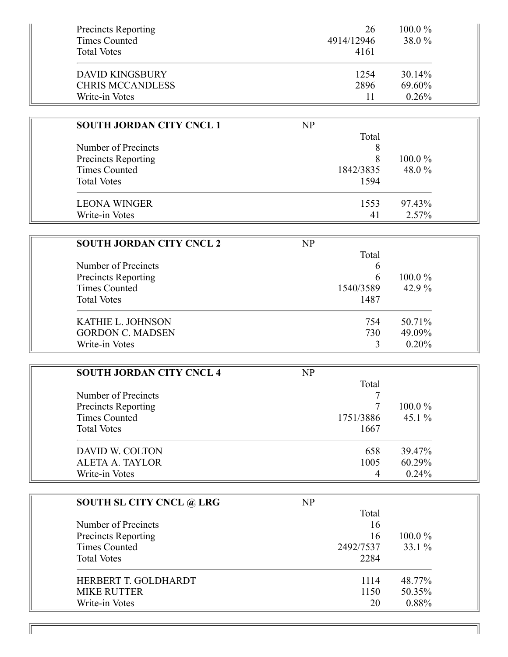| <b>Precincts Reporting</b> | 26         | $100.0\%$ |
|----------------------------|------------|-----------|
| <b>Times Counted</b>       | 4914/12946 | 38.0 %    |
| <b>Total Votes</b>         | 4161       |           |
| <b>DAVID KINGSBURY</b>     | 1254       | 30.14%    |
| <b>CHRIS MCCANDLESS</b>    | 2896       | 69.60%    |
| Write-in Votes             |            | 0.26%     |

| <b>SOUTH JORDAN CITY CNCL 1</b> | NP        |           |
|---------------------------------|-----------|-----------|
|                                 | Total     |           |
| Number of Precincts             |           |           |
| Precincts Reporting             |           | $100.0\%$ |
| Times Counted                   | 1842/3835 | 48.0 %    |
| <b>Total Votes</b>              | 1594      |           |
| <b>LEONA WINGER</b>             | 1553      | 97.43%    |
| Write-in Votes                  | 41        | 2.57%     |

| <b>SOUTH JORDAN CITY CNCL 2</b> | NP        |           |
|---------------------------------|-----------|-----------|
|                                 | Total     |           |
| Number of Precincts             | 6         |           |
| Precincts Reporting             | h         | $100.0\%$ |
| Times Counted                   | 1540/3589 | 42.9 $%$  |
| <b>Total Votes</b>              | 1487      |           |
| <b>KATHIE L. JOHNSON</b>        | 754       | 50.71%    |
| <b>GORDON C. MADSEN</b>         | 730       | 49.09%    |
| Write-in Votes                  |           | $0.20\%$  |

| <b>SOUTH JORDAN CITY CNCL 4</b> | NP        |           |
|---------------------------------|-----------|-----------|
|                                 | Total     |           |
| Number of Precincts             |           |           |
| Precincts Reporting             |           | $100.0\%$ |
| <b>Times Counted</b>            | 1751/3886 | 45.1 $%$  |
| <b>Total Votes</b>              | 1667      |           |
| DAVID W. COLTON                 | 658       | 39.47%    |
| <b>ALETA A. TAYLOR</b>          | 1005      | 60.29%    |
| Write-in Votes                  | 4         | 0.24%     |

| <b>SOUTH SL CITY CNCL @ LRG</b> | NP        |           |
|---------------------------------|-----------|-----------|
|                                 | Total     |           |
| Number of Precincts             | 16        |           |
| Precincts Reporting             | 16        | $100.0\%$ |
| <b>Times Counted</b>            | 2492/7537 | $33.1\%$  |
| <b>Total Votes</b>              | 2284      |           |
| HERBERT T. GOLDHARDT            | 1114      | 48.77%    |
| <b>MIKE RUTTER</b>              | 1150      | 50.35%    |
| Write-in Votes                  | 20        | 0.88%     |

 $\mathbb{I}$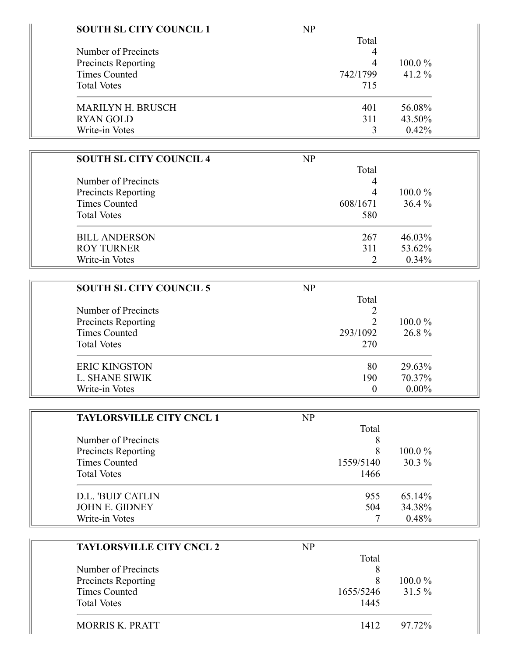| <b>SOUTH SL CITY COUNCIL 1</b> | NP       |           |
|--------------------------------|----------|-----------|
|                                | Total    |           |
| Number of Precincts            | 4        |           |
| Precincts Reporting            | 4        | $100.0\%$ |
| <b>Times Counted</b>           | 742/1799 | 41.2 $%$  |
| <b>Total Votes</b>             | 715      |           |
| <b>MARILYN H. BRUSCH</b>       | 401      | 56.08%    |
| <b>RYAN GOLD</b>               | 311      | 43.50%    |
| Write-in Votes                 |          | 0.42%     |

| <b>SOUTH SL CITY COUNCIL 4</b> | NP       |           |
|--------------------------------|----------|-----------|
|                                | Total    |           |
| Number of Precincts            | 4        |           |
| Precincts Reporting            | 4        | $100.0\%$ |
| <b>Times Counted</b>           | 608/1671 | 36.4%     |
| <b>Total Votes</b>             | 580      |           |
| <b>BILL ANDERSON</b>           | 267      | 46.03%    |
| <b>ROY TURNER</b>              | 311      | 53.62%    |
| Write-in Votes                 |          | 0.34%     |

| <b>SOUTH SL CITY COUNCIL 5</b>             | NP       |           |
|--------------------------------------------|----------|-----------|
|                                            | Total    |           |
| Number of Precincts<br>Precincts Reporting |          | $100.0\%$ |
|                                            |          |           |
| <b>Times Counted</b>                       | 293/1092 | 26.8%     |
| <b>Total Votes</b>                         | 270      |           |
| <b>ERIC KINGSTON</b>                       | 80       | 29.63%    |
| L. SHANE SIWIK                             | 190      | 70.37%    |
| Write-in Votes                             |          | $0.00\%$  |

| <b>TAYLORSVILLE CITY CNCL 1</b>            | NP        |           |
|--------------------------------------------|-----------|-----------|
|                                            | Total     |           |
| Number of Precincts<br>Precincts Reporting |           |           |
|                                            |           | $100.0\%$ |
| <b>Times Counted</b>                       | 1559/5140 | $30.3\%$  |
| <b>Total Votes</b>                         | 1466      |           |
| D.L. 'BUD' CATLIN                          | 955       | 65.14%    |
| <b>JOHN E. GIDNEY</b>                      | 504       | 34.38%    |
| Write-in Votes                             |           | 0.48%     |

| <b>TAYLORSVILLE CITY CNCL 2</b> | NP        |           |
|---------------------------------|-----------|-----------|
|                                 | Total     |           |
| Number of Precincts             |           |           |
| Precincts Reporting             | 8         | $100.0\%$ |
| <b>Times Counted</b>            | 1655/5246 | $31.5\%$  |
| <b>Total Votes</b>              | 1445      |           |
| <b>MORRIS K. PRATT</b>          | 1412      | 97.72%    |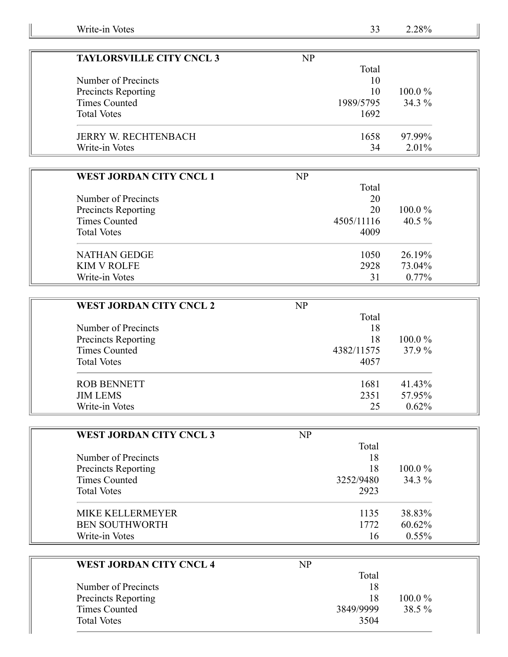| <b>TAYLORSVILLE CITY CNCL 3</b> | NP        |           |
|---------------------------------|-----------|-----------|
|                                 | Total     |           |
| Number of Precincts             | 10        |           |
| Precincts Reporting             | 10        | $100.0\%$ |
| Times Counted                   | 1989/5795 | $34.3\%$  |
| <b>Total Votes</b>              | 1692      |           |
| <b>JERRY W. RECHTENBACH</b>     | 1658      | 97.99%    |
| Write-in Votes                  | 34        | $2.01\%$  |

| <b>WEST JORDAN CITY CNCL 1</b> | NP         |           |
|--------------------------------|------------|-----------|
|                                | Total      |           |
| Number of Precincts            | 20         |           |
| <b>Precincts Reporting</b>     | 20         | $100.0\%$ |
| Times Counted                  | 4505/11116 | 40.5 $%$  |
| <b>Total Votes</b>             | 4009       |           |
| NATHAN GEDGE                   | 1050       | 26.19%    |
| <b>KIM V ROLFE</b>             | 2928       | 73.04%    |
| Write-in Votes                 | 31         | $0.77\%$  |

| <b>WEST JORDAN CITY CNCL 2</b> | $\mathbf{NP}$ |           |
|--------------------------------|---------------|-----------|
|                                | Total         |           |
| Number of Precincts            | 18            |           |
| <b>Precincts Reporting</b>     | 18            | $100.0\%$ |
| Times Counted                  | 4382/11575    | 37.9 %    |
| <b>Total Votes</b>             | 4057          |           |
| <b>ROB BENNETT</b>             | 1681          | 41.43%    |
| <b>JIM LEMS</b>                | 2351          | 57.95%    |
| Write-in Votes                 | 25            | 0.62%     |

| <b>WEST JORDAN CITY CNCL 3</b>                    | NP        |           |
|---------------------------------------------------|-----------|-----------|
| Number of Precincts<br><b>Precincts Reporting</b> | Total     |           |
|                                                   | 18        | $100.0\%$ |
|                                                   | 18        |           |
| Times Counted                                     | 3252/9480 | 34.3 %    |
| <b>Total Votes</b>                                | 2923      |           |
| <b>MIKE KELLERMEYER</b>                           | 1135      | 38.83%    |
| <b>BEN SOUTHWORTH</b>                             | 1772      | 60.62%    |
| Write-in Votes                                    | 16        | $0.55\%$  |

| <b>WEST JORDAN CITY CNCL 4</b> | NP        |        |
|--------------------------------|-----------|--------|
|                                | Total     |        |
| Number of Precincts            | 18        |        |
| <b>Precincts Reporting</b>     | 18        | 100.0% |
| Times Counted                  | 3849/9999 | 38.5 % |
| <b>Total Votes</b>             | 3504      |        |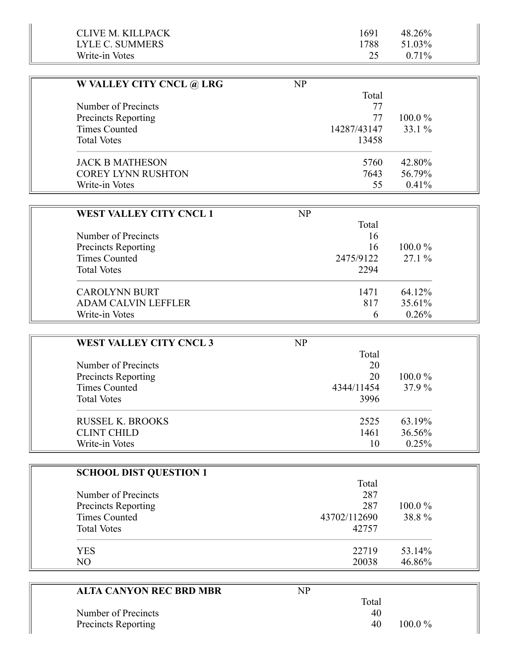| CLIVE M. KILLPACK | 1691 | 48.26%   |
|-------------------|------|----------|
| LYLE C. SUMMERS   | 1788 | 51.03%   |
| Write-in Votes    |      | $0.71\%$ |

| W VALLEY CITY CNCL @ LRG   | NP          |           |
|----------------------------|-------------|-----------|
|                            | Total       |           |
| Number of Precincts        | 77          |           |
| <b>Precincts Reporting</b> | 77          | $100.0\%$ |
| <b>Times Counted</b>       | 14287/43147 | $33.1\%$  |
| <b>Total Votes</b>         | 13458       |           |
| <b>JACK B MATHESON</b>     | 5760        | 42.80%    |
| <b>COREY LYNN RUSHTON</b>  | 7643        | 56.79%    |
| Write-in Votes             | 55          | $0.41\%$  |

| WEST VALLEY CITY CNCL 1    | NP            |           |
|----------------------------|---------------|-----------|
|                            | Total         |           |
| Number of Precincts        | 16            |           |
| <b>Precincts Reporting</b> | 16            | $100.0\%$ |
| Times Counted              | 2475/9122     | $27.1\%$  |
| <b>Total Votes</b>         | 2294          |           |
| <b>CAROLYNN BURT</b>       | 1471          | 64.12%    |
| <b>ADAM CALVIN LEFFLER</b> | 817           | 35.61%    |
| Write-in Votes             | $\mathfrak b$ | 0.26%     |

| <b>WEST VALLEY CITY CNCL 3</b>             | NP         |           |
|--------------------------------------------|------------|-----------|
| Number of Precincts<br>Precincts Reporting | Total      |           |
|                                            | 20         | $100.0\%$ |
|                                            | 20         |           |
| Times Counted                              | 4344/11454 | 37.9 %    |
| <b>Total Votes</b>                         | 3996       |           |
| <b>RUSSEL K. BROOKS</b>                    | 2525       | 63.19%    |
| <b>CLINT CHILD</b>                         | 1461       | 36.56%    |
| Write-in Votes                             | 10         | 0.25%     |

| <b>SCHOOL DIST QUESTION 1</b> |              |           |
|-------------------------------|--------------|-----------|
|                               | Total        |           |
| Number of Precincts           | 287          |           |
| Precincts Reporting           | 287          | $100.0\%$ |
| <b>Times Counted</b>          | 43702/112690 | 38.8%     |
| <b>Total Votes</b>            | 42757        |           |
| <b>YES</b>                    | 22719        | 53.14%    |
| NO.                           | 20038        | 46.86%    |

| <b>ALTA CANYON REC BRD MBR</b> | NP |       |           |
|--------------------------------|----|-------|-----------|
|                                |    | Total |           |
| Number of Precincts            |    | 40    |           |
| Precincts Reporting            |    | 40    | $100.0\%$ |